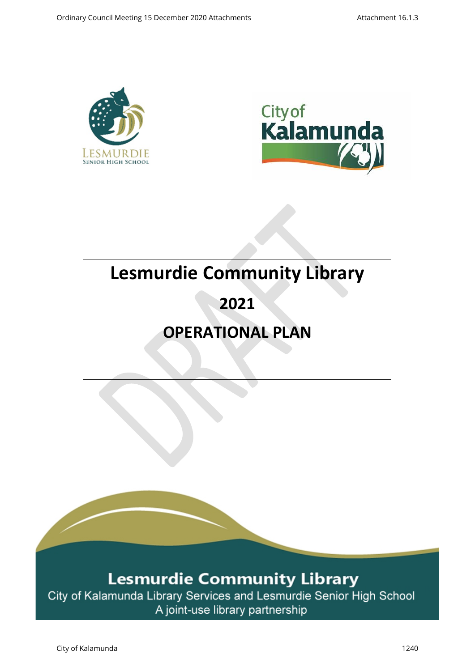



# **Lesmurdie Community Library**

# **2021**

# **OPERATIONAL PLAN**

# **Lesmurdie Community Library**

City of Kalamunda Library Services and Lesmurdie Senior High School A joint-use library partnership

City of Kalamunda 1240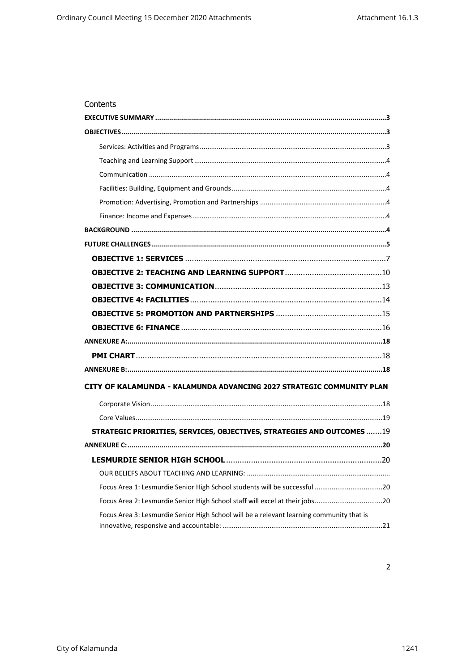| Contents                                                                                 |
|------------------------------------------------------------------------------------------|
|                                                                                          |
|                                                                                          |
|                                                                                          |
|                                                                                          |
|                                                                                          |
|                                                                                          |
|                                                                                          |
|                                                                                          |
|                                                                                          |
|                                                                                          |
|                                                                                          |
|                                                                                          |
|                                                                                          |
|                                                                                          |
|                                                                                          |
|                                                                                          |
|                                                                                          |
|                                                                                          |
|                                                                                          |
| CITY OF KALAMUNDA - KALAMUNDA ADVANCING 2027 STRATEGIC COMMUNITY PLAN                    |
|                                                                                          |
|                                                                                          |
| STRATEGIC PRIORITIES, SERVICES, OBJECTIVES, STRATEGIES AND OUTCOMES 19                   |
|                                                                                          |
|                                                                                          |
|                                                                                          |
| Focus Area 1: Lesmurdie Senior High School students will be successful 20                |
| Focus Area 2: Lesmurdie Senior High School staff will excel at their jobs20              |
| Focus Area 3: Lesmurdie Senior High School will be a relevant learning community that is |

 $\overline{2}$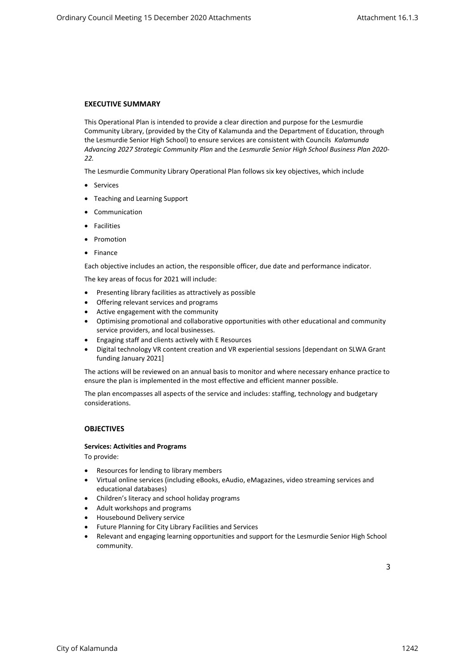# <span id="page-2-0"></span>**EXECUTIVE SUMMARY**

This Operational Plan is intended to provide a clear direction and purpose for the Lesmurdie Community Library, (provided by the City of Kalamunda and the Department of Education, through the Lesmurdie Senior High School) to ensure services are consistent with Councils *Kalamunda Advancing 2027 Strategic Community Plan* and the *Lesmurdie Senior High School Business Plan 2020- 22.* 

The Lesmurdie Community Library Operational Plan follows six key objectives, which include

- Services
- Teaching and Learning Support
- Communication
- **•** Facilities
- Promotion
- Finance

Each objective includes an action, the responsible officer, due date and performance indicator.

The key areas of focus for 2021 will include:

- Presenting library facilities as attractively as possible
- Offering relevant services and programs
- Active engagement with the community
- Optimising promotional and collaborative opportunities with other educational and community service providers, and local businesses.
- Engaging staff and clients actively with E Resources
- Digital technology VR content creation and VR experiential sessions [dependant on SLWA Grant funding January 2021]

The actions will be reviewed on an annual basis to monitor and where necessary enhance practice to ensure the plan is implemented in the most effective and efficient manner possible.

The plan encompasses all aspects of the service and includes: staffing, technology and budgetary considerations.

#### <span id="page-2-1"></span>**OBJECTIVES**

#### **Services: Activities and Programs**

To provide:

- <span id="page-2-2"></span>Resources for lending to library members
- Virtual online services (including eBooks, eAudio, eMagazines, video streaming services and educational databases)
- Children's literacy and school holiday programs
- Adult workshops and programs
- Housebound Delivery service
- Future Planning for City Library Facilities and Services
- Relevant and engaging learning opportunities and support for the Lesmurdie Senior High School community.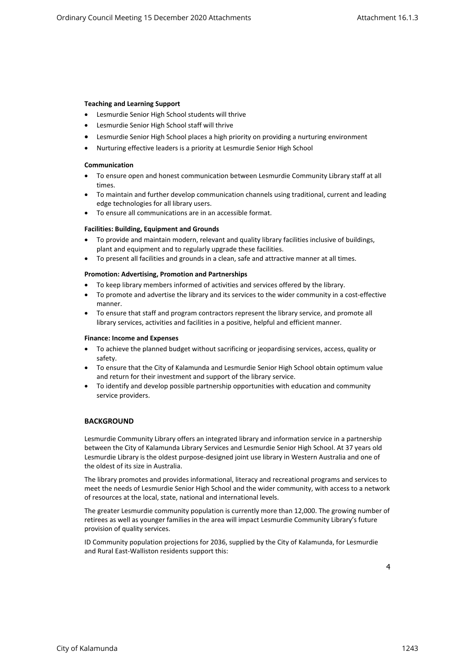#### <span id="page-3-0"></span>**Teaching and Learning Support**

- Lesmurdie Senior High School students will thrive
- <span id="page-3-1"></span>Lesmurdie Senior High School staff will thrive
- Lesmurdie Senior High School places a high priority on providing a nurturing environment
- Nurturing effective leaders is a priority at Lesmurdie Senior High School

#### **Communication**

- To ensure open and honest communication between Lesmurdie Community Library staff at all times.
- To maintain and further develop communication channels using traditional, current and leading edge technologies for all library users.
- <span id="page-3-2"></span>To ensure all communications are in an accessible format.

#### **Facilities: Building, Equipment and Grounds**

- To provide and maintain modern, relevant and quality library facilities inclusive of buildings, plant and equipment and to regularly upgrade these facilities.
- <span id="page-3-3"></span>To present all facilities and grounds in a clean, safe and attractive manner at all times.

#### **Promotion: Advertising, Promotion and Partnerships**

- To keep library members informed of activities and services offered by the library.
- To promote and advertise the library and its services to the wider community in a cost-effective manner.
- To ensure that staff and program contractors represent the library service, and promote all library services, activities and facilities in a positive, helpful and efficient manner.

#### <span id="page-3-4"></span>**Finance: Income and Expenses**

- To achieve the planned budget without sacrificing or jeopardising services, access, quality or safety.
- To ensure that the City of Kalamunda and Lesmurdie Senior High School obtain optimum value and return for their investment and support of the library service.
- To identify and develop possible partnership opportunities with education and community service providers.

#### <span id="page-3-5"></span>**BACKGROUND**

Lesmurdie Community Library offers an integrated library and information service in a partnership between the City of Kalamunda Library Services and Lesmurdie Senior High School. At 37 years old Lesmurdie Library is the oldest purpose-designed joint use library in Western Australia and one of the oldest of its size in Australia.

The library promotes and provides informational, literacy and recreational programs and services to meet the needs of Lesmurdie Senior High School and the wider community, with access to a network of resources at the local, state, national and international levels.

The greater Lesmurdie community population is currently more than 12,000. The growing number of retirees as well as younger families in the area will impact Lesmurdie Community Library's future provision of quality services.

ID Community population projections for 2036, supplied by the City of Kalamunda, for Lesmurdie and Rural East-Walliston residents support this:

4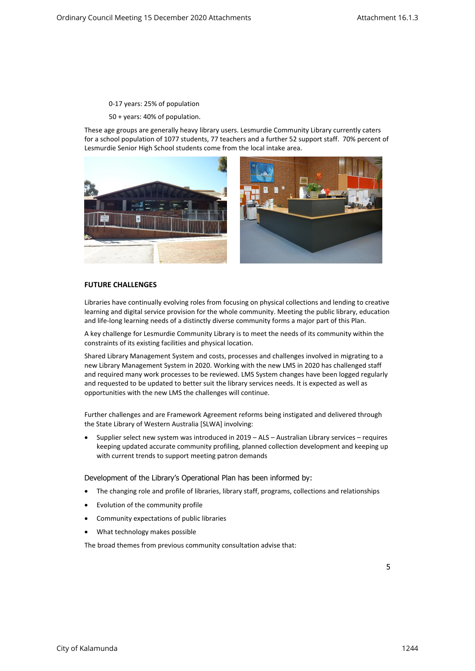# 0-17 years: 25% of population

50 + years: 40% of population.

These age groups are generally heavy library users. Lesmurdie Community Library currently caters for a school population of 1077 students, 77 teachers and a further 52 support staff. 70% percent of Lesmurdie Senior High School students come from the local intake area.



# <span id="page-4-0"></span>**FUTURE CHALLENGES**

Libraries have continually evolving roles from focusing on physical collections and lending to creative learning and digital service provision for the whole community. Meeting the public library, education and life-long learning needs of a distinctly diverse community forms a major part of this Plan.

A key challenge for Lesmurdie Community Library is to meet the needs of its community within the constraints of its existing facilities and physical location.

Shared Library Management System and costs, processes and challenges involved in migrating to a new Library Management System in 2020. Working with the new LMS in 2020 has challenged staff and required many work processes to be reviewed. LMS System changes have been logged regularly and requested to be updated to better suit the library services needs. It is expected as well as opportunities with the new LMS the challenges will continue.

Further challenges and are Framework Agreement reforms being instigated and delivered through the State Library of Western Australia [SLWA] involving:

 Supplier select new system was introduced in 2019 – ALS – Australian Library services – requires keeping updated accurate community profiling, planned collection development and keeping up with current trends to support meeting patron demands

Development of the Library's Operational Plan has been informed by:

- The changing role and profile of libraries, library staff, programs, collections and relationships
- Evolution of the community profile
- Community expectations of public libraries
- What technology makes possible

The broad themes from previous community consultation advise that: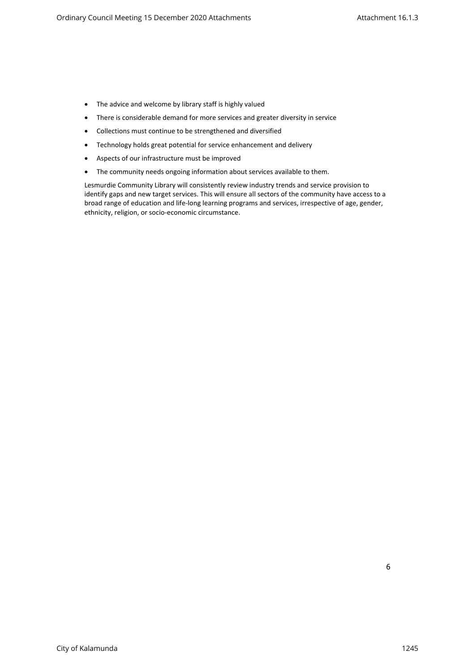- The advice and welcome by library staff is highly valued
- There is considerable demand for more services and greater diversity in service
- Collections must continue to be strengthened and diversified
- Technology holds great potential for service enhancement and delivery
- Aspects of our infrastructure must be improved
- The community needs ongoing information about services available to them.

Lesmurdie Community Library will consistently review industry trends and service provision to identify gaps and new target services. This will ensure all sectors of the community have access to a broad range of education and life-long learning programs and services, irrespective of age, gender, ethnicity, religion, or socio-economic circumstance.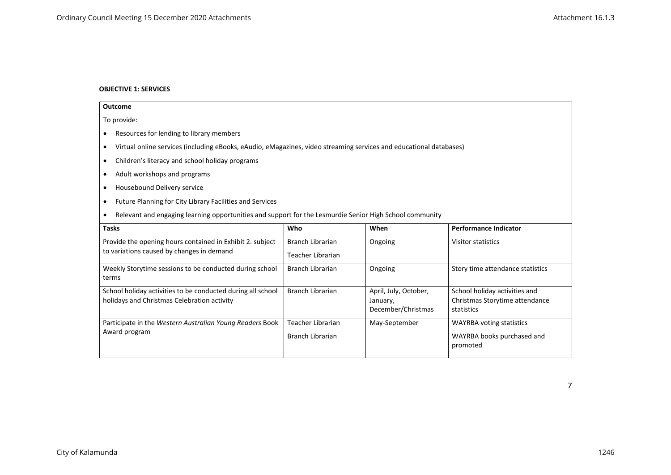# **OBJECTIVE 1: SERVICES**

<span id="page-6-0"></span>

| Outcome                                                                                                                 |                                                     |                                                         |                                                                               |  |  |
|-------------------------------------------------------------------------------------------------------------------------|-----------------------------------------------------|---------------------------------------------------------|-------------------------------------------------------------------------------|--|--|
| To provide:                                                                                                             |                                                     |                                                         |                                                                               |  |  |
| Resources for lending to library members                                                                                |                                                     |                                                         |                                                                               |  |  |
| Virtual online services (including eBooks, eAudio, eMagazines, video streaming services and educational databases)<br>٠ |                                                     |                                                         |                                                                               |  |  |
| Children's literacy and school holiday programs<br>٠                                                                    |                                                     |                                                         |                                                                               |  |  |
| Adult workshops and programs<br>٠                                                                                       |                                                     |                                                         |                                                                               |  |  |
| Housebound Delivery service<br>٠                                                                                        |                                                     |                                                         |                                                                               |  |  |
| Future Planning for City Library Facilities and Services<br>٠                                                           |                                                     |                                                         |                                                                               |  |  |
| Relevant and engaging learning opportunities and support for the Lesmurdie Senior High School community                 |                                                     |                                                         |                                                                               |  |  |
| When<br><b>Tasks</b><br>Who<br><b>Performance Indicator</b>                                                             |                                                     |                                                         |                                                                               |  |  |
| Provide the opening hours contained in Exhibit 2. subject<br>to variations caused by changes in demand                  | <b>Branch Librarian</b><br><b>Teacher Librarian</b> | Ongoing                                                 | Visitor statistics                                                            |  |  |
| Weekly Storytime sessions to be conducted during school<br>terms                                                        | <b>Branch Librarian</b>                             | Ongoing                                                 | Story time attendance statistics                                              |  |  |
| School holiday activities to be conducted during all school<br>holidays and Christmas Celebration activity              | <b>Branch Librarian</b>                             | April, July, October,<br>January,<br>December/Christmas | School holiday activities and<br>Christmas Storytime attendance<br>statistics |  |  |
| Participate in the Western Australian Young Readers Book<br>Award program                                               | <b>Teacher Librarian</b><br><b>Branch Librarian</b> | May-September                                           | <b>WAYRBA voting statistics</b><br>WAYRBA books purchased and<br>promoted     |  |  |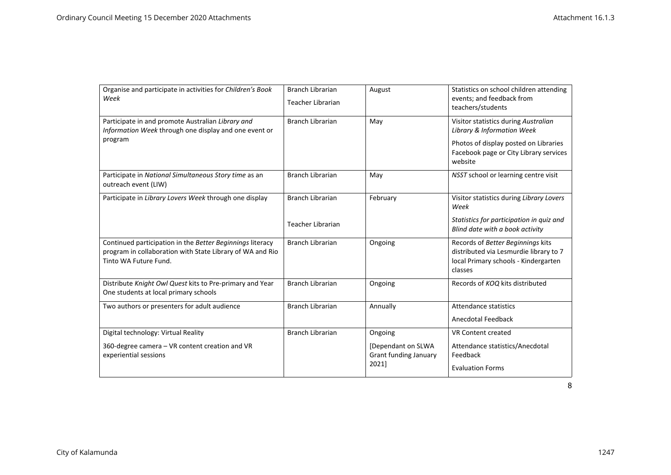| Organise and participate in activities for Children's Book<br>Week                                                                              | <b>Branch Librarian</b><br><b>Teacher Librarian</b> | August                                               | Statistics on school children attending<br>events; and feedback from<br>teachers/students                                                                        |
|-------------------------------------------------------------------------------------------------------------------------------------------------|-----------------------------------------------------|------------------------------------------------------|------------------------------------------------------------------------------------------------------------------------------------------------------------------|
| Participate in and promote Australian Library and<br>Information Week through one display and one event or<br>program                           | <b>Branch Librarian</b>                             | May                                                  | Visitor statistics during Australian<br>Library & Information Week<br>Photos of display posted on Libraries<br>Facebook page or City Library services<br>website |
| Participate in National Simultaneous Story time as an<br>outreach event (LIW)                                                                   | <b>Branch Librarian</b>                             | May                                                  | NSST school or learning centre visit                                                                                                                             |
| Participate in Library Lovers Week through one display                                                                                          | <b>Branch Librarian</b><br><b>Teacher Librarian</b> | February                                             | Visitor statistics during Library Lovers<br>Week<br>Statistics for participation in quiz and<br>Blind date with a book activity                                  |
| Continued participation in the Better Beginnings literacy<br>program in collaboration with State Library of WA and Rio<br>Tinto WA Future Fund. | <b>Branch Librarian</b>                             | Ongoing                                              | Records of Better Beginnings kits<br>distributed via Lesmurdie library to 7<br>local Primary schools - Kindergarten<br>classes                                   |
| Distribute Knight Owl Quest kits to Pre-primary and Year<br>One students at local primary schools                                               | <b>Branch Librarian</b>                             | Ongoing                                              | Records of KOQ kits distributed                                                                                                                                  |
| Two authors or presenters for adult audience                                                                                                    | <b>Branch Librarian</b>                             | Annually                                             | Attendance statistics<br>Anecdotal Feedback                                                                                                                      |
| Digital technology: Virtual Reality                                                                                                             | <b>Branch Librarian</b>                             | Ongoing                                              | <b>VR Content created</b>                                                                                                                                        |
| 360-degree camera - VR content creation and VR<br>experiential sessions                                                                         |                                                     | [Dependant on SLWA<br>Grant funding January<br>2021] | Attendance statistics/Anecdotal<br>Feedback                                                                                                                      |
|                                                                                                                                                 |                                                     |                                                      | <b>Evaluation Forms</b>                                                                                                                                          |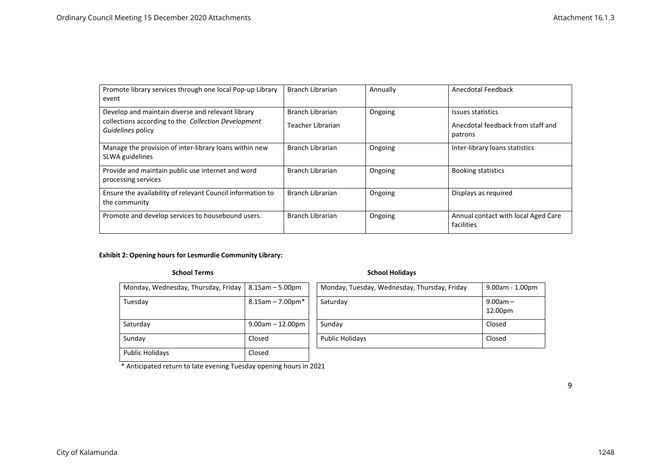| Promote library services through one local Pop-up Library<br>event                                                            | Branch Librarian                      | Annually | Anecdotal Feedback                                                |
|-------------------------------------------------------------------------------------------------------------------------------|---------------------------------------|----------|-------------------------------------------------------------------|
| Develop and maintain diverse and relevant library<br>collections according to the Collection Development<br>Guidelines policy | Branch Librarian<br>Teacher Librarian | Ongoing  | Issues statistics<br>Anecdotal feedback from staff and<br>patrons |
| Manage the provision of inter-library loans within new<br>SLWA guidelines                                                     | Branch Librarian                      | Ongoing  | Inter-library loans statistics                                    |
| Provide and maintain public use internet and word<br>processing services                                                      | Branch Librarian                      | Ongoing  | <b>Booking statistics</b>                                         |
| Ensure the availability of relevant Council information to<br>the community                                                   | Branch Librarian                      | Ongoing  | Displays as required                                              |
| Promote and develop services to housebound users.                                                                             | Branch Librarian                      | Ongoing  | Annual contact with local Aged Care<br>facilities                 |

# **Exhibit 2: Opening hours for Lesmurdie Community Library:**

# **School Terms** School Holidays

| Monday, Wednesday, Thursday, Friday | $8.15$ am $-5.00$ pm   | Monday, Tuesday, Wednesday, Thursday, Friday | $9.00$ am - $1.00$ pm |
|-------------------------------------|------------------------|----------------------------------------------|-----------------------|
| Tuesday                             | $8.15$ am - 7.00pm $*$ | Saturday                                     | $9.00am -$            |
|                                     |                        |                                              | 12.00pm               |
| Saturday                            | $9.00$ am $- 12.00$ pm | Sunday                                       | Closed                |
| Sunday                              | Closed                 | <b>Public Holidays</b>                       | Closed                |
| <b>Public Holidays</b>              | Closed                 |                                              |                       |

\* Anticipated return to late evening Tuesday opening hours in 2021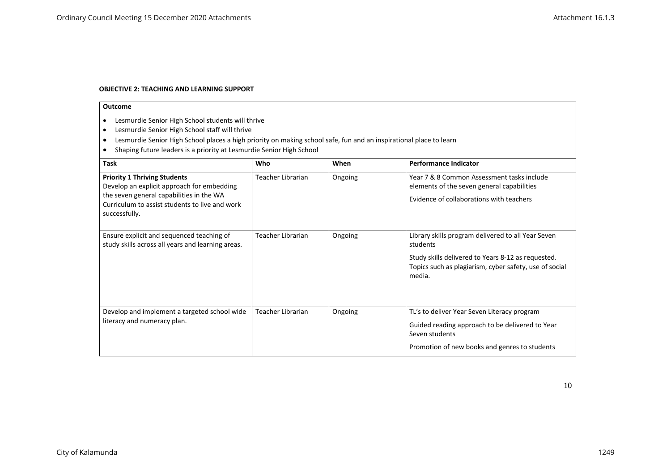#### **OBJECTIVE 2: TEACHING AND LEARNING SUPPORT**

- Lesmurdie Senior High School students will thrive
- Lesmurdie Senior High School staff will thrive
- Lesmurdie Senior High School places a high priority on making school safe, fun and an inspirational place to learn
- $\vert \bullet \vert$  Shaping future leaders is a priority at Lesmurdie Senior High School

<span id="page-9-0"></span>

| <b>Task</b>                                                                                                                                                                                      | Who               | When    | <b>Performance Indicator</b>                                                                                                                                                             |
|--------------------------------------------------------------------------------------------------------------------------------------------------------------------------------------------------|-------------------|---------|------------------------------------------------------------------------------------------------------------------------------------------------------------------------------------------|
| <b>Priority 1 Thriving Students</b><br>Develop an explicit approach for embedding<br>the seven general capabilities in the WA<br>Curriculum to assist students to live and work<br>successfully. | Teacher Librarian | Ongoing | Year 7 & 8 Common Assessment tasks include<br>elements of the seven general capabilities<br>Evidence of collaborations with teachers                                                     |
| Ensure explicit and sequenced teaching of<br>study skills across all years and learning areas.                                                                                                   | Teacher Librarian | Ongoing | Library skills program delivered to all Year Seven<br>students<br>Study skills delivered to Years 8-12 as requested.<br>Topics such as plagiarism, cyber safety, use of social<br>media. |
| Develop and implement a targeted school wide<br>literacy and numeracy plan.                                                                                                                      | Teacher Librarian | Ongoing | TL's to deliver Year Seven Literacy program<br>Guided reading approach to be delivered to Year<br>Seven students<br>Promotion of new books and genres to students                        |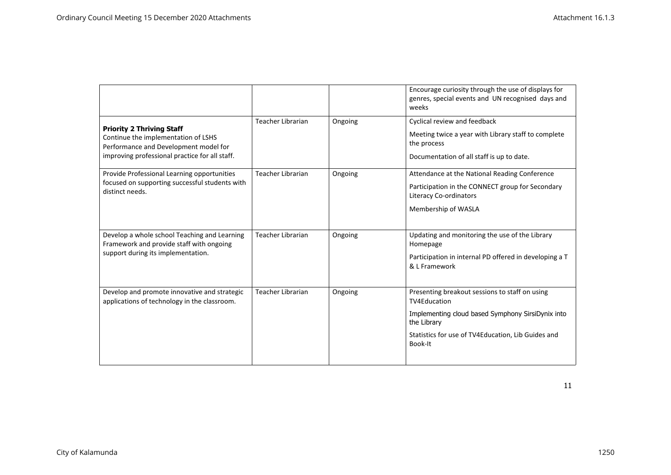|                                                                                                                                                                    |                          |         | Encourage curiosity through the use of displays for<br>genres, special events and UN recognised days and<br>weeks                                                                                          |
|--------------------------------------------------------------------------------------------------------------------------------------------------------------------|--------------------------|---------|------------------------------------------------------------------------------------------------------------------------------------------------------------------------------------------------------------|
| <b>Priority 2 Thriving Staff</b><br>Continue the implementation of LSHS<br>Performance and Development model for<br>improving professional practice for all staff. | <b>Teacher Librarian</b> | Ongoing | Cyclical review and feedback<br>Meeting twice a year with Library staff to complete<br>the process<br>Documentation of all staff is up to date.                                                            |
| Provide Professional Learning opportunities<br>focused on supporting successful students with<br>distinct needs.                                                   | <b>Teacher Librarian</b> | Ongoing | Attendance at the National Reading Conference<br>Participation in the CONNECT group for Secondary<br><b>Literacy Co-ordinators</b><br>Membership of WASLA                                                  |
| Develop a whole school Teaching and Learning<br>Framework and provide staff with ongoing<br>support during its implementation.                                     | <b>Teacher Librarian</b> | Ongoing | Updating and monitoring the use of the Library<br>Homepage<br>Participation in internal PD offered in developing a T<br>& L Framework                                                                      |
| Develop and promote innovative and strategic<br>applications of technology in the classroom.                                                                       | <b>Teacher Librarian</b> | Ongoing | Presenting breakout sessions to staff on using<br><b>TV4Education</b><br>Implementing cloud based Symphony SirsiDynix into<br>the Library<br>Statistics for use of TV4Education, Lib Guides and<br>Book-It |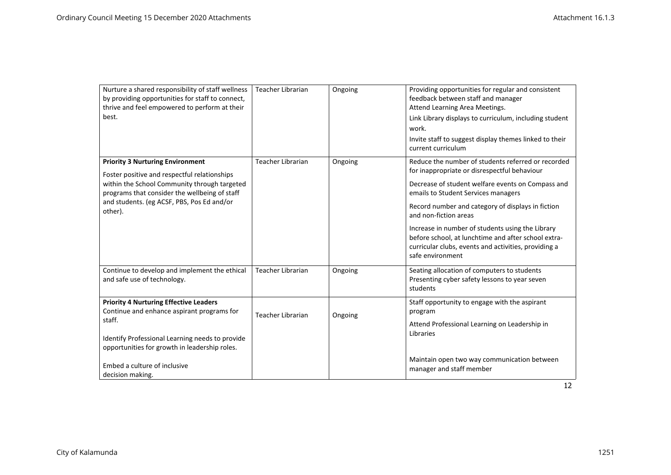| Nurture a shared responsibility of staff wellness<br>by providing opportunities for staff to connect,<br>thrive and feel empowered to perform at their<br>best. | <b>Teacher Librarian</b> | Ongoing | Providing opportunities for regular and consistent<br>feedback between staff and manager<br>Attend Learning Area Meetings.<br>Link Library displays to curriculum, including student<br>work.<br>Invite staff to suggest display themes linked to their<br>current curriculum |
|-----------------------------------------------------------------------------------------------------------------------------------------------------------------|--------------------------|---------|-------------------------------------------------------------------------------------------------------------------------------------------------------------------------------------------------------------------------------------------------------------------------------|
| <b>Priority 3 Nurturing Environment</b><br>Foster positive and respectful relationships                                                                         | <b>Teacher Librarian</b> | Ongoing | Reduce the number of students referred or recorded<br>for inappropriate or disrespectful behaviour                                                                                                                                                                            |
| within the School Community through targeted<br>programs that consider the wellbeing of staff                                                                   |                          |         | Decrease of student welfare events on Compass and<br>emails to Student Services managers                                                                                                                                                                                      |
| and students. (eg ACSF, PBS, Pos Ed and/or<br>other).                                                                                                           |                          |         | Record number and category of displays in fiction<br>and non-fiction areas                                                                                                                                                                                                    |
|                                                                                                                                                                 |                          |         | Increase in number of students using the Library<br>before school, at lunchtime and after school extra-<br>curricular clubs, events and activities, providing a<br>safe environment                                                                                           |
| Continue to develop and implement the ethical<br>and safe use of technology.                                                                                    | Teacher Librarian        | Ongoing | Seating allocation of computers to students<br>Presenting cyber safety lessons to year seven<br>students                                                                                                                                                                      |
| <b>Priority 4 Nurturing Effective Leaders</b><br>Continue and enhance aspirant programs for                                                                     | <b>Teacher Librarian</b> | Ongoing | Staff opportunity to engage with the aspirant<br>program                                                                                                                                                                                                                      |
| staff.<br>Identify Professional Learning needs to provide<br>opportunities for growth in leadership roles.                                                      |                          |         | Attend Professional Learning on Leadership in<br>Libraries                                                                                                                                                                                                                    |
| Embed a culture of inclusive<br>decision making.                                                                                                                |                          |         | Maintain open two way communication between<br>manager and staff member                                                                                                                                                                                                       |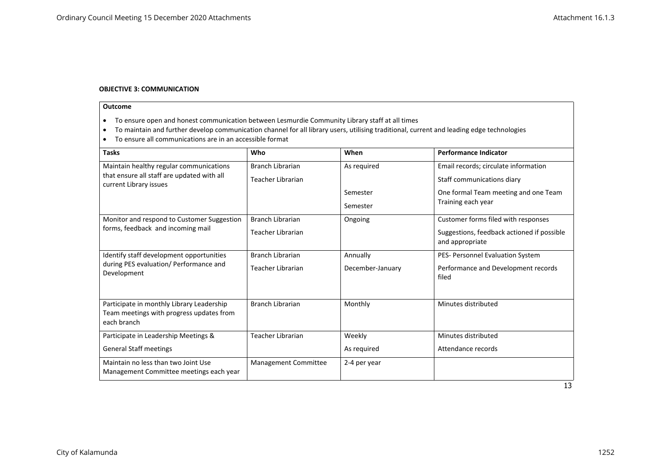#### **OBJECTIVE 3: COMMUNICATION**

- To ensure open and honest communication between Lesmurdie Community Library staff at all times
- To maintain and further develop communication channel for all library users, utilising traditional, current and leading edge technologies
- To ensure all communications are in an accessible format

<span id="page-12-0"></span>

| <b>Tasks</b>                                                                                                    | Who                                   | When                         | <b>Performance Indicator</b>                                                                         |
|-----------------------------------------------------------------------------------------------------------------|---------------------------------------|------------------------------|------------------------------------------------------------------------------------------------------|
| Maintain healthy regular communications<br>that ensure all staff are updated with all<br>current Library issues | Branch Librarian<br>Teacher Librarian | As required                  | Email records; circulate information<br>Staff communications diary                                   |
|                                                                                                                 |                                       | Semester<br>Semester         | One formal Team meeting and one Team<br>Training each year                                           |
| Monitor and respond to Customer Suggestion<br>forms, feedback and incoming mail                                 | Branch Librarian<br>Teacher Librarian | Ongoing                      | Customer forms filed with responses<br>Suggestions, feedback actioned if possible<br>and appropriate |
| Identify staff development opportunities<br>during PES evaluation/ Performance and<br>Development               | Branch Librarian<br>Teacher Librarian | Annually<br>December-January | PES- Personnel Evaluation System<br>Performance and Development records<br>filed                     |
| Participate in monthly Library Leadership<br>Team meetings with progress updates from<br>each branch            | Branch Librarian                      | Monthly                      | Minutes distributed                                                                                  |
| Participate in Leadership Meetings &                                                                            | Teacher Librarian                     | Weekly                       | Minutes distributed                                                                                  |
| <b>General Staff meetings</b>                                                                                   |                                       | As required                  | Attendance records                                                                                   |
| Maintain no less than two Joint Use<br>Management Committee meetings each year                                  | Management Committee                  | 2-4 per year                 |                                                                                                      |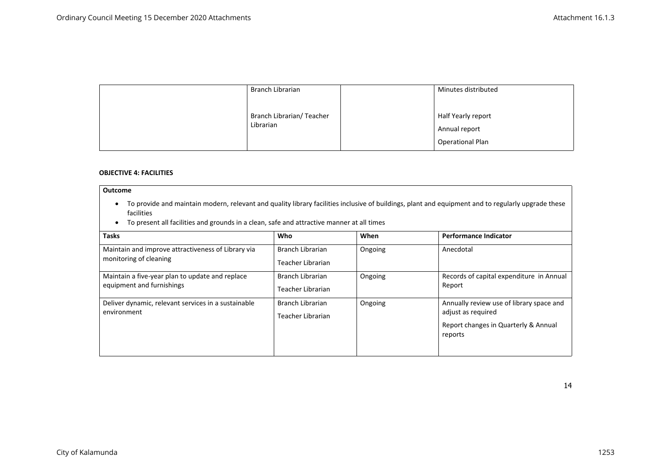| Branch Librarian                       | Minutes distributed                                            |
|----------------------------------------|----------------------------------------------------------------|
| Branch Librarian/ Teacher<br>Librarian | Half Yearly report<br>Annual report<br><b>Operational Plan</b> |

## **OBJECTIVE 4: FACILITIES**

- To provide and maintain modern, relevant and quality library facilities inclusive of buildings, plant and equipment and to regularly upgrade these facilities
- To present all facilities and grounds in a clean, safe and attractive manner at all times

<span id="page-13-0"></span>

| <b>Tasks</b>                                                                 | Who                                   | When    | <b>Performance Indicator</b>                                                                                      |
|------------------------------------------------------------------------------|---------------------------------------|---------|-------------------------------------------------------------------------------------------------------------------|
| Maintain and improve attractiveness of Library via<br>monitoring of cleaning | Branch Librarian<br>Teacher Librarian | Ongoing | Anecdotal                                                                                                         |
| Maintain a five-year plan to update and replace<br>equipment and furnishings | Branch Librarian<br>Teacher Librarian | Ongoing | Records of capital expenditure in Annual<br>Report                                                                |
| Deliver dynamic, relevant services in a sustainable<br>environment           | Branch Librarian<br>Teacher Librarian | Ongoing | Annually review use of library space and<br>adjust as required<br>Report changes in Quarterly & Annual<br>reports |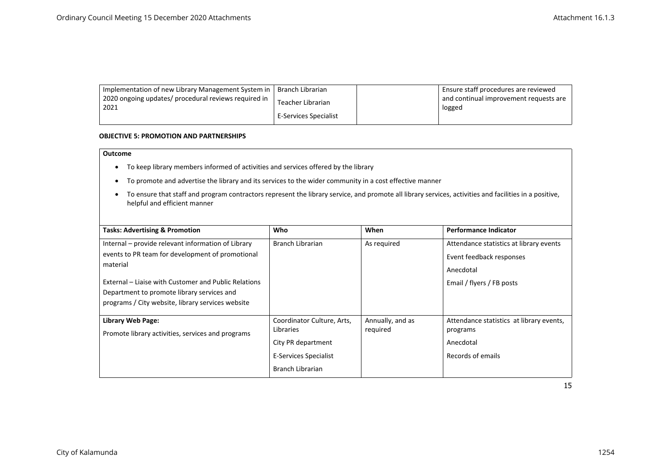| Implementation of new Library Management System in   | Branch Librarian      | Ensure staff procedures are reviewed   |
|------------------------------------------------------|-----------------------|----------------------------------------|
| 2020 ongoing updates/ procedural reviews required in | Teacher Librarian     | and continual improvement requests are |
| 2021                                                 | E-Services Specialist | logged                                 |

#### **OBJECTIVE 5: PROMOTION AND PARTNERSHIPS**

- To keep library members informed of activities and services offered by the library
- To promote and advertise the library and its services to the wider community in a cost effective manner
- To ensure that staff and program contractors represent the library service, and promote all library services, activities and facilities in a positive, helpful and efficient manner

<span id="page-14-0"></span>

| <b>Tasks: Advertising &amp; Promotion</b>            | Who                                     | When                         | <b>Performance Indicator</b>                         |
|------------------------------------------------------|-----------------------------------------|------------------------------|------------------------------------------------------|
| Internal – provide relevant information of Library   | Branch Librarian                        | As required                  | Attendance statistics at library events              |
| events to PR team for development of promotional     |                                         |                              | Event feedback responses                             |
| material                                             |                                         |                              | Anecdotal                                            |
| External – Liaise with Customer and Public Relations |                                         |                              | Email / flyers / FB posts                            |
| Department to promote library services and           |                                         |                              |                                                      |
| programs / City website, library services website    |                                         |                              |                                                      |
| Library Web Page:                                    | Coordinator Culture, Arts,<br>Libraries | Annually, and as<br>required | Attendance statistics at library events,<br>programs |
| Promote library activities, services and programs    | City PR department                      |                              | Anecdotal                                            |
|                                                      | <b>E-Services Specialist</b>            |                              | Records of emails                                    |
|                                                      | Branch Librarian                        |                              |                                                      |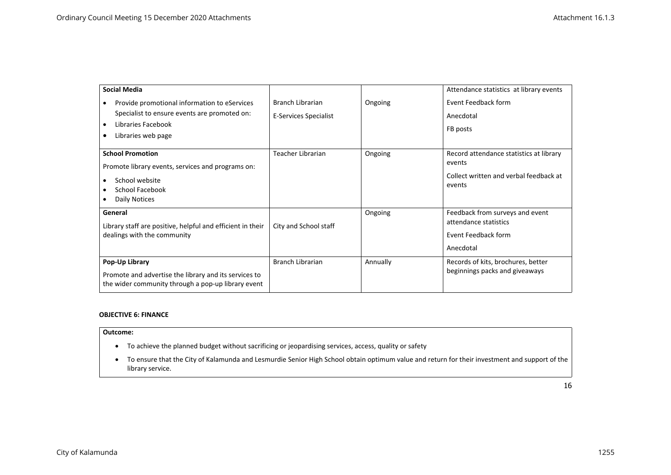| <b>Social Media</b>                                                                                                                      |                                                  |          | Attendance statistics at library events                                                               |
|------------------------------------------------------------------------------------------------------------------------------------------|--------------------------------------------------|----------|-------------------------------------------------------------------------------------------------------|
| Provide promotional information to eServices<br>Specialist to ensure events are promoted on:<br>Libraries Facebook<br>Libraries web page | Branch Librarian<br><b>E-Services Specialist</b> | Ongoing  | Event Feedback form<br>Anecdotal<br>FB posts                                                          |
| <b>School Promotion</b><br>Promote library events, services and programs on:<br>School website<br>School Facebook<br>Daily Notices       | <b>Teacher Librarian</b>                         | Ongoing  | Record attendance statistics at library<br>events<br>Collect written and verbal feedback at<br>events |
| General<br>Library staff are positive, helpful and efficient in their<br>dealings with the community                                     | City and School staff                            | Ongoing  | Feedback from surveys and event<br>attendance statistics<br>Event Feedback form<br>Anecdotal          |
| Pop-Up Library<br>Promote and advertise the library and its services to<br>the wider community through a pop-up library event            | <b>Branch Librarian</b>                          | Annually | Records of kits, brochures, better<br>beginnings packs and giveaways                                  |

#### **OBJECTIVE 6: FINANCE**

- To achieve the planned budget without sacrificing or jeopardising services, access, quality or safety
- <span id="page-15-0"></span> To ensure that the City of Kalamunda and Lesmurdie Senior High School obtain optimum value and return for their investment and support of the library service.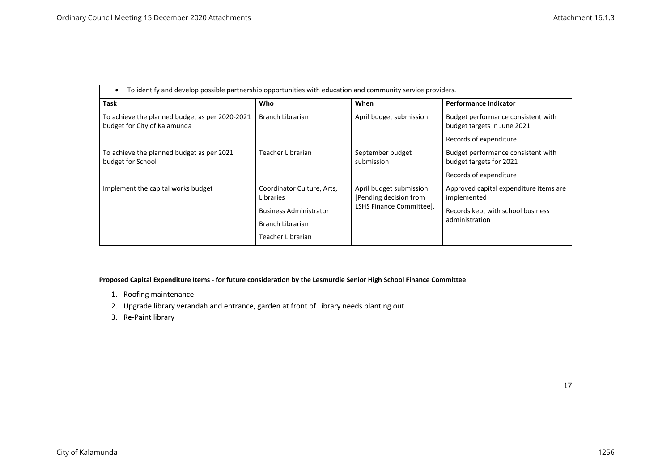| To identify and develop possible partnership opportunities with education and community service providers. |                                                                                                                   |                                                                                 |                                                                                                              |  |
|------------------------------------------------------------------------------------------------------------|-------------------------------------------------------------------------------------------------------------------|---------------------------------------------------------------------------------|--------------------------------------------------------------------------------------------------------------|--|
| <b>Task</b>                                                                                                | Who                                                                                                               | When                                                                            | <b>Performance Indicator</b>                                                                                 |  |
| To achieve the planned budget as per 2020-2021<br>budget for City of Kalamunda                             | <b>Branch Librarian</b>                                                                                           | April budget submission                                                         | Budget performance consistent with<br>budget targets in June 2021<br>Records of expenditure                  |  |
| To achieve the planned budget as per 2021<br>budget for School                                             | Teacher Librarian                                                                                                 | September budget<br>submission                                                  | Budget performance consistent with<br>budget targets for 2021<br>Records of expenditure                      |  |
| Implement the capital works budget                                                                         | Coordinator Culture, Arts,<br>Libraries<br><b>Business Administrator</b><br>Branch Librarian<br>Teacher Librarian | April budget submission.<br>[Pending decision from]<br>LSHS Finance Committee]. | Approved capital expenditure items are<br>implemented<br>Records kept with school business<br>administration |  |

# **Proposed Capital Expenditure Items - for future consideration by the Lesmurdie Senior High School Finance Committee**

- 1. Roofing maintenance
- 2. Upgrade library verandah and entrance, garden at front of Library needs planting out
- 3. Re-Paint library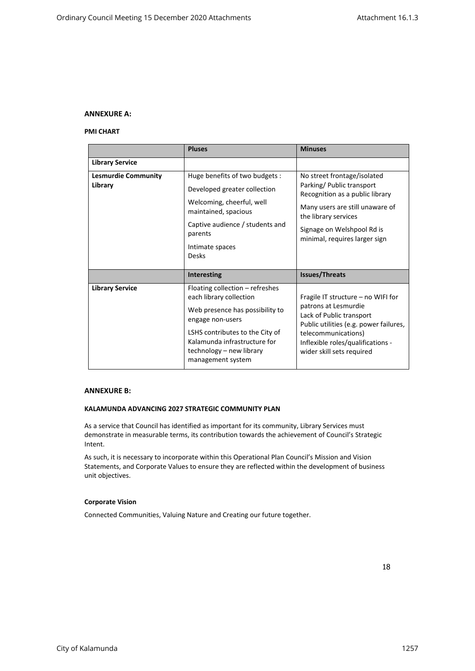# <span id="page-17-1"></span><span id="page-17-0"></span>**ANNEXURE A:**

#### **PMI CHART**

|                                       | <b>Pluses</b>                                                                                                                                                                                                                         | <b>Minuses</b>                                                                                                                                                                                                            |
|---------------------------------------|---------------------------------------------------------------------------------------------------------------------------------------------------------------------------------------------------------------------------------------|---------------------------------------------------------------------------------------------------------------------------------------------------------------------------------------------------------------------------|
| <b>Library Service</b>                |                                                                                                                                                                                                                                       |                                                                                                                                                                                                                           |
| <b>Lesmurdie Community</b><br>Library | Huge benefits of two budgets :<br>Developed greater collection<br>Welcoming, cheerful, well<br>maintained, spacious<br>Captive audience / students and<br>parents<br>Intimate spaces<br><b>Desks</b>                                  | No street frontage/isolated<br>Parking/ Public transport<br>Recognition as a public library<br>Many users are still unaware of<br>the library services<br>Signage on Welshpool Rd is<br>minimal, requires larger sign     |
|                                       | <b>Interesting</b>                                                                                                                                                                                                                    | <b>Issues/Threats</b>                                                                                                                                                                                                     |
| <b>Library Service</b>                | Floating collection – refreshes<br>each library collection<br>Web presence has possibility to<br>engage non-users<br>LSHS contributes to the City of<br>Kalamunda infrastructure for<br>technology - new library<br>management system | Fragile IT structure - no WIFI for<br>patrons at Lesmurdie<br>Lack of Public transport<br>Public utilities (e.g. power failures,<br>telecommunications)<br>Inflexible roles/qualifications -<br>wider skill sets required |

# <span id="page-17-2"></span>**ANNEXURE B:**

# **KALAMUNDA ADVANCING 2027 STRATEGIC COMMUNITY PLAN**

<span id="page-17-3"></span>As a service that Council has identified as important for its community, Library Services must demonstrate in measurable terms, its contribution towards the achievement of Council's Strategic Intent.

As such, it is necessary to incorporate within this Operational Plan Council's Mission and Vision Statements, and Corporate Values to ensure they are reflected within the development of business unit objectives.

#### **Corporate Vision**

<span id="page-17-4"></span>Connected Communities, Valuing Nature and Creating our future together.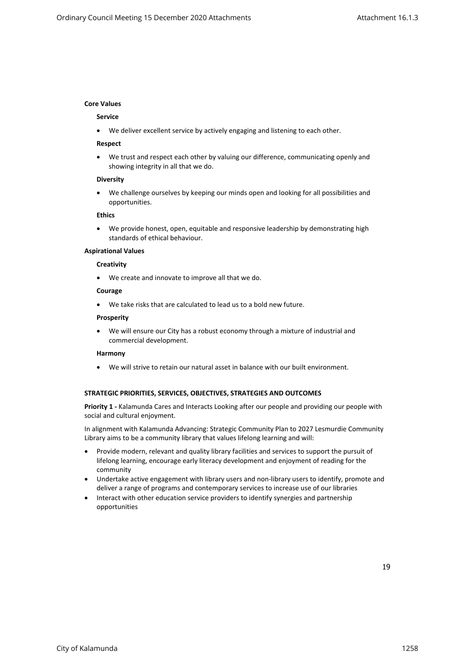# <span id="page-18-0"></span>**Core Values**

# **Service**

We deliver excellent service by actively engaging and listening to each other.

#### **Respect**

 We trust and respect each other by valuing our difference, communicating openly and showing integrity in all that we do.

#### **Diversity**

 We challenge ourselves by keeping our minds open and looking for all possibilities and opportunities.

#### **Ethics**

 We provide honest, open, equitable and responsive leadership by demonstrating high standards of ethical behaviour.

# **Aspirational Values**

#### **Creativity**

We create and innovate to improve all that we do.

## **Courage**

We take risks that are calculated to lead us to a bold new future.

#### **Prosperity**

 We will ensure our City has a robust economy through a mixture of industrial and commercial development.

#### **Harmony**

We will strive to retain our natural asset in balance with our built environment.

# **STRATEGIC PRIORITIES, SERVICES, OBJECTIVES, STRATEGIES AND OUTCOMES**

<span id="page-18-1"></span>**Priority 1 -** Kalamunda Cares and Interacts Looking after our people and providing our people with social and cultural enjoyment.

In alignment with Kalamunda Advancing: Strategic Community Plan to 2027 Lesmurdie Community Library aims to be a community library that values lifelong learning and will:

- Provide modern, relevant and quality library facilities and services to support the pursuit of lifelong learning, encourage early literacy development and enjoyment of reading for the community
- Undertake active engagement with library users and non-library users to identify, promote and deliver a range of programs and contemporary services to increase use of our libraries
- Interact with other education service providers to identify synergies and partnership opportunities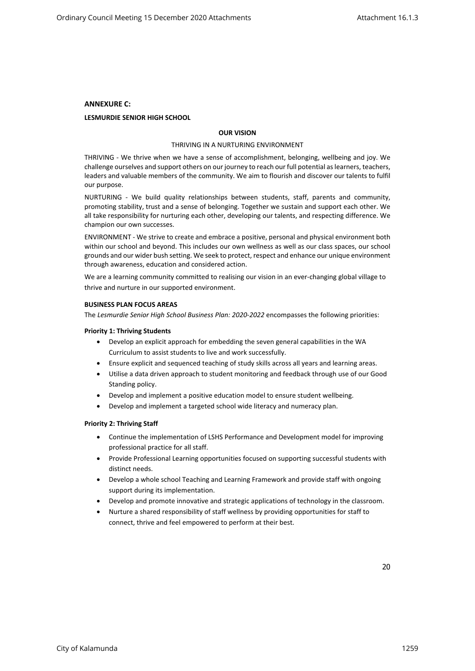# <span id="page-19-1"></span><span id="page-19-0"></span>**ANNEXURE C:**

# **LESMURDIE SENIOR HIGH SCHOOL**

# **OUR VISION**

#### THRIVING IN A NURTURING ENVIRONMENT

THRIVING - We thrive when we have a sense of accomplishment, belonging, wellbeing and joy. We challenge ourselves and support others on our journey to reach our full potential as learners, teachers, leaders and valuable members of the community. We aim to flourish and discover our talents to fulfil our purpose.

NURTURING - We build quality relationships between students, staff, parents and community, promoting stability, trust and a sense of belonging. Together we sustain and support each other. We all take responsibility for nurturing each other, developing our talents, and respecting difference. We champion our own successes.

ENVIRONMENT - We strive to create and embrace a positive, personal and physical environment both within our school and beyond. This includes our own wellness as well as our class spaces, our school grounds and our wider bush setting. We seek to protect, respect and enhance our unique environment through awareness, education and considered action.

We are a learning community committed to realising our vision in an ever-changing global village to thrive and nurture in our supported environment.

#### **BUSINESS PLAN FOCUS AREAS**

The *Lesmurdie Senior High School Business Plan: 2020-2022* encompasses the following priorities:

#### <span id="page-19-2"></span>**Priority 1: Thriving Students**

- Develop an explicit approach for embedding the seven general capabilities in the WA Curriculum to assist students to live and work successfully.
- Ensure explicit and sequenced teaching of study skills across all years and learning areas.
- Utilise a data driven approach to student monitoring and feedback through use of our Good Standing policy.
- Develop and implement a positive education model to ensure student wellbeing.
- Develop and implement a targeted school wide literacy and numeracy plan.

#### <span id="page-19-3"></span>**Priority 2: Thriving Staff**

- Continue the implementation of LSHS Performance and Development model for improving professional practice for all staff.
- Provide Professional Learning opportunities focused on supporting successful students with distinct needs.
- Develop a whole school Teaching and Learning Framework and provide staff with ongoing support during its implementation.
- Develop and promote innovative and strategic applications of technology in the classroom.
- Nurture a shared responsibility of staff wellness by providing opportunities for staff to connect, thrive and feel empowered to perform at their best.